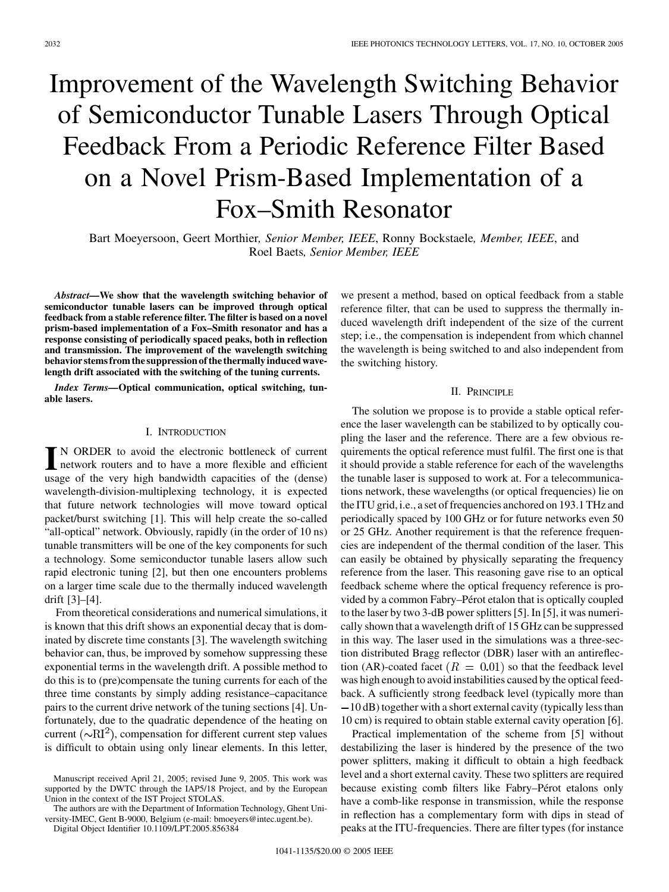# Improvement of the Wavelength Switching Behavior of Semiconductor Tunable Lasers Through Optical Feedback From a Periodic Reference Filter Based on a Novel Prism-Based Implementation of a Fox–Smith Resonator

Bart Moeyersoon, Geert Morthier*, Senior Member, IEEE*, Ronny Bockstaele*, Member, IEEE*, and Roel Baets*, Senior Member, IEEE*

*Abstract—***We show that the wavelength switching behavior of semiconductor tunable lasers can be improved through optical feedback from a stable reference filter. The filter is based on a novel prism-based implementation of a Fox–Smith resonator and has a response consisting of periodically spaced peaks, both in reflection and transmission. The improvement of the wavelength switching behavior stems from the suppression of the thermally induced wavelength drift associated with the switching of the tuning currents.**

*Index Terms—***Optical communication, optical switching, tunable lasers.**

## I. INTRODUCTION

I**I** N ORDER to avoid the electronic bottleneck of current network routers and to have a more flexible and efficient usage of the very high bandwidth capacities of the (dense) wavelength-division-multiplexing technology, it is expected that future network technologies will move toward optical packet/burst switching [[1\]](#page-2-0). This will help create the so-called "all-optical" network. Obviously, rapidly (in the order of 10 ns) tunable transmitters will be one of the key components for such a technology. Some semiconductor tunable lasers allow such rapid electronic tuning [\[2](#page-2-0)], but then one encounters problems on a larger time scale due to the thermally induced wavelength drift [\[3](#page-2-0)]–[[4\]](#page-2-0).

From theoretical considerations and numerical simulations, it is known that this drift shows an exponential decay that is dominated by discrete time constants [[3\]](#page-2-0). The wavelength switching behavior can, thus, be improved by somehow suppressing these exponential terms in the wavelength drift. A possible method to do this is to (pre)compensate the tuning currents for each of the three time constants by simply adding resistance–capacitance pairs to the current drive network of the tuning sections [\[4](#page-2-0)]. Unfortunately, due to the quadratic dependence of the heating on current ( $\sim$ RI<sup>2</sup>), compensation for different current step values is difficult to obtain using only linear elements. In this letter,

The authors are with the Department of Information Technology, Ghent University-IMEC, Gent B-9000, Belgium (e-mail: bmoeyers@intec.ugent.be).

Digital Object Identifier 10.1109/LPT.2005.856384

we present a method, based on optical feedback from a stable reference filter, that can be used to suppress the thermally induced wavelength drift independent of the size of the current step; i.e., the compensation is independent from which channel the wavelength is being switched to and also independent from the switching history.

#### II. PRINCIPLE

The solution we propose is to provide a stable optical reference the laser wavelength can be stabilized to by optically coupling the laser and the reference. There are a few obvious requirements the optical reference must fulfil. The first one is that it should provide a stable reference for each of the wavelengths the tunable laser is supposed to work at. For a telecommunications network, these wavelengths (or optical frequencies) lie on the ITU grid, i.e., a set of frequencies anchored on 193.1 THz and periodically spaced by 100 GHz or for future networks even 50 or 25 GHz. Another requirement is that the reference frequencies are independent of the thermal condition of the laser. This can easily be obtained by physically separating the frequency reference from the laser. This reasoning gave rise to an optical feedback scheme where the optical frequency reference is provided by a common Fabry–Pérot etalon that is optically coupled to the laser by two 3-dB power splitters [\[5](#page-2-0)]. In [\[5](#page-2-0)], it was numerically shown that a wavelength drift of 15 GHz can be suppressed in this way. The laser used in the simulations was a three-section distributed Bragg reflector (DBR) laser with an antireflection (AR)-coated facet ( $R = 0.01$ ) so that the feedback level was high enough to avoid instabilities caused by the optical feedback. A sufficiently strong feedback level (typically more than  $-10$  dB) together with a short external cavity (typically less than 10 cm) is required to obtain stable external cavity operation [[6\]](#page-2-0).

Practical implementation of the scheme from [\[5](#page-2-0)] without destabilizing the laser is hindered by the presence of the two power splitters, making it difficult to obtain a high feedback level and a short external cavity. These two splitters are required because existing comb filters like Fabry–Pérot etalons only have a comb-like response in transmission, while the response in reflection has a complementary form with dips in stead of peaks at the ITU-frequencies. There are filter types (for instance

Manuscript received April 21, 2005; revised June 9, 2005. This work was supported by the DWTC through the IAP5/18 Project, and by the European Union in the context of the IST Project STOLAS.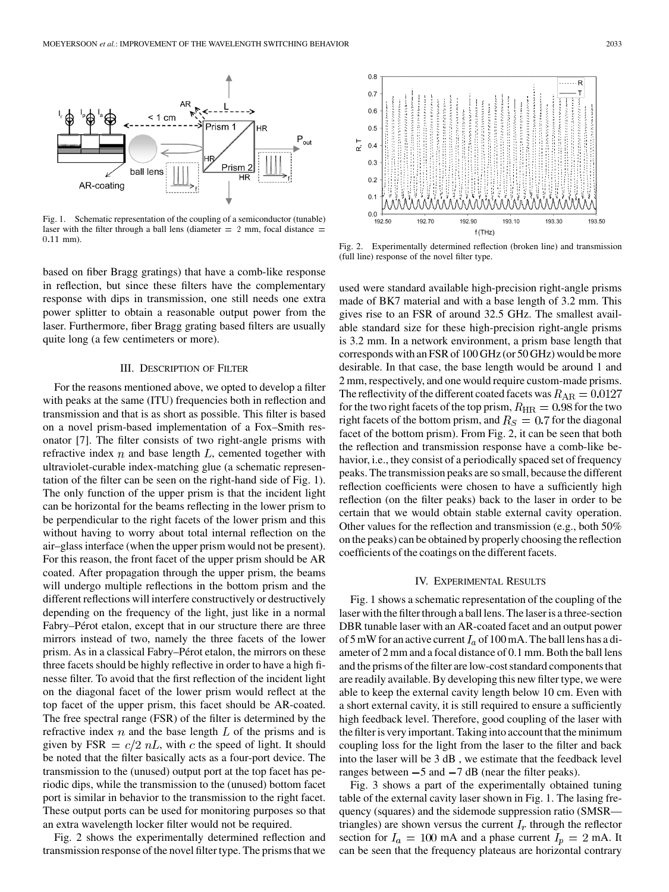

Fig. 1. Schematic representation of the coupling of a semiconductor (tunable) laser with the filter through a ball lens (diameter  $= 2$  mm, focal distance  $=$ 0:11 mm).

based on fiber Bragg gratings) that have a comb-like response in reflection, but since these filters have the complementary response with dips in transmission, one still needs one extra power splitter to obtain a reasonable output power from the laser. Furthermore, fiber Bragg grating based filters are usually quite long (a few centimeters or more).

#### III. DESCRIPTION OF FILTER

For the reasons mentioned above, we opted to develop a filter with peaks at the same (ITU) frequencies both in reflection and transmission and that is as short as possible. This filter is based on a novel prism-based implementation of a Fox–Smith resonator [[7\]](#page-2-0). The filter consists of two right-angle prisms with refractive index  $n$  and base length  $L$ , cemented together with ultraviolet-curable index-matching glue (a schematic representation of the filter can be seen on the right-hand side of Fig. 1). The only function of the upper prism is that the incident light can be horizontal for the beams reflecting in the lower prism to be perpendicular to the right facets of the lower prism and this without having to worry about total internal reflection on the air–glass interface (when the upper prism would not be present). For this reason, the front facet of the upper prism should be AR coated. After propagation through the upper prism, the beams will undergo multiple reflections in the bottom prism and the different reflections will interfere constructively or destructively depending on the frequency of the light, just like in a normal Fabry–Pérot etalon, except that in our structure there are three mirrors instead of two, namely the three facets of the lower prism. As in a classical Fabry–Pérot etalon, the mirrors on these three facets should be highly reflective in order to have a high finesse filter. To avoid that the first reflection of the incident light on the diagonal facet of the lower prism would reflect at the top facet of the upper prism, this facet should be AR-coated. The free spectral range (FSR) of the filter is determined by the refractive index  $n$  and the base length  $L$  of the prisms and is given by FSR  $= c/2 nL$ , with c the speed of light. It should be noted that the filter basically acts as a four-port device. The transmission to the (unused) output port at the top facet has periodic dips, while the transmission to the (unused) bottom facet port is similar in behavior to the transmission to the right facet. These output ports can be used for monitoring purposes so that an extra wavelength locker filter would not be required.

Fig. 2 shows the experimentally determined reflection and transmission response of the novel filter type. The prisms that we



Fig. 2. Experimentally determined reflection (broken line) and transmission (full line) response of the novel filter type.

used were standard available high-precision right-angle prisms made of BK7 material and with a base length of 3.2 mm. This gives rise to an FSR of around 32.5 GHz. The smallest available standard size for these high-precision right-angle prisms is 3.2 mm. In a network environment, a prism base length that corresponds with an FSR of 100 GHz (or 50 GHz) would be more desirable. In that case, the base length would be around 1 and 2 mm, respectively, and one would require custom-made prisms. The reflectivity of the different coated facets was  $R_{AR} = 0.0127$ for the two right facets of the top prism,  $R_{\rm HR}=0.98$  for the two right facets of the bottom prism, and  $R_S = 0.7$  for the diagonal facet of the bottom prism). From Fig. 2, it can be seen that both the reflection and transmission response have a comb-like behavior, i.e., they consist of a periodically spaced set of frequency peaks. The transmission peaks are so small, because the different reflection coefficients were chosen to have a sufficiently high reflection (on the filter peaks) back to the laser in order to be certain that we would obtain stable external cavity operation. Other values for the reflection and transmission (e.g., both 50% on the peaks) can be obtained by properly choosing the reflection coefficients of the coatings on the different facets.

# IV. EXPERIMENTAL RESULTS

Fig. 1 shows a schematic representation of the coupling of the laser with the filter through a ball lens. The laser is a three-section DBR tunable laser with an AR-coated facet and an output power of 5 mW for an active current  $I_a$  of 100 mA. The ball lens has a diameter of 2 mm and a focal distance of 0.1 mm. Both the ball lens and the prisms of the filter are low-cost standard components that are readily available. By developing this new filter type, we were able to keep the external cavity length below 10 cm. Even with a short external cavity, it is still required to ensure a sufficiently high feedback level. Therefore, good coupling of the laser with the filter is very important. Taking into account that the minimum coupling loss for the light from the laser to the filter and back into the laser will be 3 dB , we estimate that the feedback level ranges between  $-5$  and  $-7$  dB (near the filter peaks).

Fig. 3 shows a part of the experimentally obtained tuning table of the external cavity laser shown in Fig. 1. The lasing frequency (squares) and the sidemode suppression ratio (SMSR triangles) are shown versus the current  $I_r$  through the reflector section for  $I_a = 100$  mA and a phase current  $I_p = 2$  mA. It can be seen that the frequency plateaus are horizontal contrary